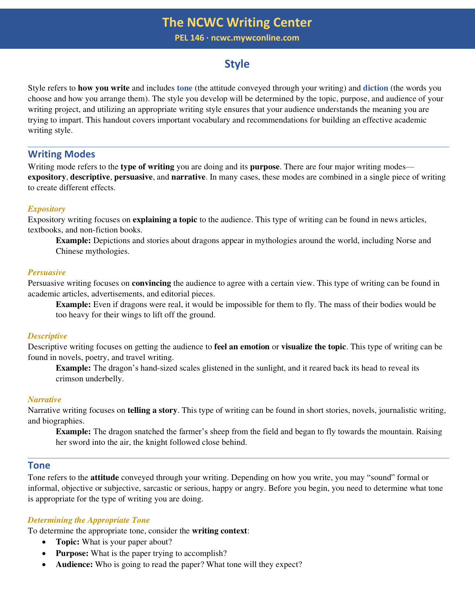**PEL 146 ∙ ncwc.mywconline.com**

# **Style**

Style refers to **how you write** and includes **tone** (the attitude conveyed through your writing) and **diction** (the words you choose and how you arrange them). The style you develop will be determined by the topic, purpose, and audience of your writing project, and utilizing an appropriate writing style ensures that your audience understands the meaning you are trying to impart. This handout covers important vocabulary and recommendations for building an effective academic writing style.

# **Writing Modes**

Writing mode refers to the **type of writing** you are doing and its **purpose**. There are four major writing modes **expository**, **descriptive**, **persuasive**, and **narrative**. In many cases, these modes are combined in a single piece of writing to create different effects.

## *Expository*

Expository writing focuses on **explaining a topic** to the audience. This type of writing can be found in news articles, textbooks, and non-fiction books.

**Example:** Depictions and stories about dragons appear in mythologies around the world, including Norse and Chinese mythologies.

### *Persuasive*

Persuasive writing focuses on **convincing** the audience to agree with a certain view. This type of writing can be found in academic articles, advertisements, and editorial pieces.

**Example:** Even if dragons were real, it would be impossible for them to fly. The mass of their bodies would be too heavy for their wings to lift off the ground.

### *Descriptive*

Descriptive writing focuses on getting the audience to **feel an emotion** or **visualize the topic**. This type of writing can be found in novels, poetry, and travel writing.

**Example:** The dragon's hand-sized scales glistened in the sunlight, and it reared back its head to reveal its crimson underbelly.

### *Narrative*

Narrative writing focuses on **telling a story**. This type of writing can be found in short stories, novels, journalistic writing, and biographies.

**Example:** The dragon snatched the farmer's sheep from the field and began to fly towards the mountain. Raising her sword into the air, the knight followed close behind.

# **Tone**

Tone refers to the **attitude** conveyed through your writing. Depending on how you write, you may "sound" formal or informal, objective or subjective, sarcastic or serious, happy or angry. Before you begin, you need to determine what tone is appropriate for the type of writing you are doing.

### *Determining the Appropriate Tone*

To determine the appropriate tone, consider the **writing context**:

- **Topic:** What is your paper about?
- **Purpose:** What is the paper trying to accomplish?
- **Audience:** Who is going to read the paper? What tone will they expect?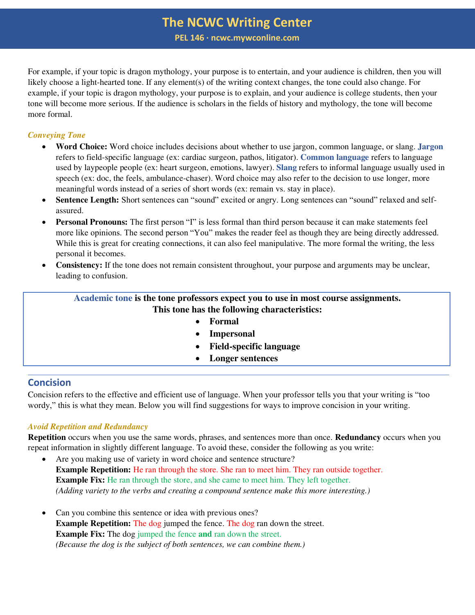**PEL 146 ∙ ncwc.mywconline.com**

For example, if your topic is dragon mythology, your purpose is to entertain, and your audience is children, then you will likely choose a light-hearted tone. If any element(s) of the writing context changes, the tone could also change. For example, if your topic is dragon mythology, your purpose is to explain, and your audience is college students, then your tone will become more serious. If the audience is scholars in the fields of history and mythology, the tone will become more formal.

# *Conveying Tone*

- **Word Choice:** Word choice includes decisions about whether to use jargon, common language, or slang. **Jargon** refers to field-specific language (ex: cardiac surgeon, pathos, litigator). **Common language** refers to language used by laypeople people (ex: heart surgeon, emotions, lawyer). **Slang** refers to informal language usually used in speech (ex: doc, the feels, ambulance-chaser). Word choice may also refer to the decision to use longer, more meaningful words instead of a series of short words (ex: remain vs. stay in place).
- **Sentence Length:** Short sentences can "sound" excited or angry. Long sentences can "sound" relaxed and selfassured.
- **Personal Pronouns:** The first person "I" is less formal than third person because it can make statements feel more like opinions. The second person "You" makes the reader feel as though they are being directly addressed. While this is great for creating connections, it can also feel manipulative. The more formal the writing, the less personal it becomes.
- **Consistency:** If the tone does not remain consistent throughout, your purpose and arguments may be unclear, leading to confusion.

# **Academic tone is the tone professors expect you to use in most course assignments. This tone has the following characteristics:**

- **Formal**
- **Impersonal**
- **Field-specific language**
- **Longer sentences**

# **Concision**

Concision refers to the effective and efficient use of language. When your professor tells you that your writing is "too wordy," this is what they mean. Below you will find suggestions for ways to improve concision in your writing.

# *Avoid Repetition and Redundancy*

**Repetition** occurs when you use the same words, phrases, and sentences more than once. **Redundancy** occurs when you repeat information in slightly different language. To avoid these, consider the following as you write:

- Are you making use of variety in word choice and sentence structure? **Example Repetition:** He ran through the store. She ran to meet him. They ran outside together. **Example Fix:** He ran through the store, and she came to meet him. They left together. *(Adding variety to the verbs and creating a compound sentence make this more interesting.)*
- Can you combine this sentence or idea with previous ones? **Example Repetition:** The dog jumped the fence. The dog ran down the street. **Example Fix:** The dog jumped the fence **and** ran down the street. *(Because the dog is the subject of both sentences, we can combine them.)*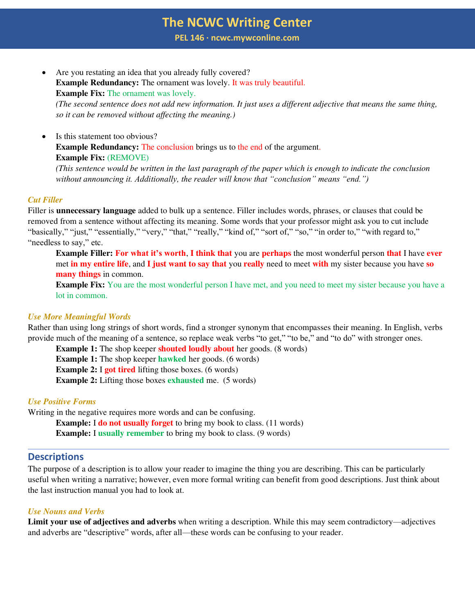**PEL 146 ∙ ncwc.mywconline.com**

Are you restating an idea that you already fully covered? **Example Redundancy:** The ornament was lovely. It was truly beautiful. **Example Fix:** The ornament was lovely.

*(The second sentence does not add new information. It just uses a different adjective that means the same thing, so it can be removed without affecting the meaning.)* 

Is this statement too obvious? **Example Redundancy:** The conclusion brings us to the end of the argument. **Example Fix:** (REMOVE)

*(This sentence would be written in the last paragraph of the paper which is enough to indicate the conclusion without announcing it. Additionally, the reader will know that "conclusion" means "end.")*

### *Cut Filler*

Filler is **unnecessary language** added to bulk up a sentence. Filler includes words, phrases, or clauses that could be removed from a sentence without affecting its meaning. Some words that your professor might ask you to cut include "basically," "just," "essentially," "very," "that," "really," "kind of," "sort of," "so," "in order to," "with regard to," "needless to say," etc.

**Example Filler: For what it's worth**, **I think that** you are **perhaps** the most wonderful person **that** I have **ever** met **in my entire life**, and **I just want to say that** you **really** need to meet **with** my sister because you have **so many things** in common.

**Example Fix:** You are the most wonderful person I have met, and you need to meet my sister because you have a lot in common.

### *Use More Meaningful Words*

Rather than using long strings of short words, find a stronger synonym that encompasses their meaning. In English, verbs provide much of the meaning of a sentence, so replace weak verbs "to get," "to be," and "to do" with stronger ones.

**Example 1:** The shop keeper **shouted loudly about** her goods. (8 words) **Example 1:** The shop keeper **hawked** her goods. (6 words) **Example 2:** I **got tired** lifting those boxes. (6 words) **Example 2:** Lifting those boxes **exhausted** me. (5 words)

# *Use Positive Forms*

Writing in the negative requires more words and can be confusing.

**Example:** I **do not usually forget** to bring my book to class. (11 words) **Example:** I **usually remember** to bring my book to class. (9 words)

### **Descriptions**

The purpose of a description is to allow your reader to imagine the thing you are describing. This can be particularly useful when writing a narrative; however, even more formal writing can benefit from good descriptions. Just think about the last instruction manual you had to look at.

### *Use Nouns and Verbs*

**Limit your use of adjectives and adverbs** when writing a description. While this may seem contradictory—adjectives and adverbs are "descriptive" words, after all—these words can be confusing to your reader.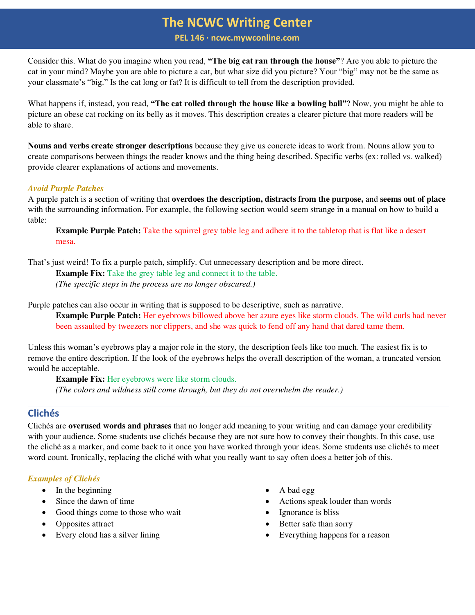**PEL 146 ∙ ncwc.mywconline.com**

Consider this. What do you imagine when you read, **"The big cat ran through the house"**? Are you able to picture the cat in your mind? Maybe you are able to picture a cat, but what size did you picture? Your "big" may not be the same as your classmate's "big." Is the cat long or fat? It is difficult to tell from the description provided.

What happens if, instead, you read, **"The cat rolled through the house like a bowling ball"**? Now, you might be able to picture an obese cat rocking on its belly as it moves. This description creates a clearer picture that more readers will be able to share.

**Nouns and verbs create stronger descriptions** because they give us concrete ideas to work from. Nouns allow you to create comparisons between things the reader knows and the thing being described. Specific verbs (ex: rolled vs. walked) provide clearer explanations of actions and movements.

## *Avoid Purple Patches*

A purple patch is a section of writing that **overdoes the description, distracts from the purpose,** and **seems out of place** with the surrounding information. For example, the following section would seem strange in a manual on how to build a table:

**Example Purple Patch:** Take the squirrel grey table leg and adhere it to the tabletop that is flat like a desert mesa.

That's just weird! To fix a purple patch, simplify. Cut unnecessary description and be more direct.

**Example Fix:** Take the grey table leg and connect it to the table. *(The specific steps in the process are no longer obscured.)*

Purple patches can also occur in writing that is supposed to be descriptive, such as narrative.

**Example Purple Patch:** Her eyebrows billowed above her azure eyes like storm clouds. The wild curls had never been assaulted by tweezers nor clippers, and she was quick to fend off any hand that dared tame them.

Unless this woman's eyebrows play a major role in the story, the description feels like too much. The easiest fix is to remove the entire description. If the look of the eyebrows helps the overall description of the woman, a truncated version would be acceptable.

**Example Fix:** Her eyebrows were like storm clouds. *(The colors and wildness still come through, but they do not overwhelm the reader.)* 

# **Clichés**

Clichés are **overused words and phrases** that no longer add meaning to your writing and can damage your credibility with your audience. Some students use clichés because they are not sure how to convey their thoughts. In this case, use the cliché as a marker, and come back to it once you have worked through your ideas. Some students use clichés to meet word count. Ironically, replacing the cliché with what you really want to say often does a better job of this.

# *Examples of Clichés*

- In the beginning
- Since the dawn of time
- Good things come to those who wait
- Opposites attract
- Every cloud has a silver lining
- A bad egg
- Actions speak louder than words
- Ignorance is bliss
- Better safe than sorry
- Everything happens for a reason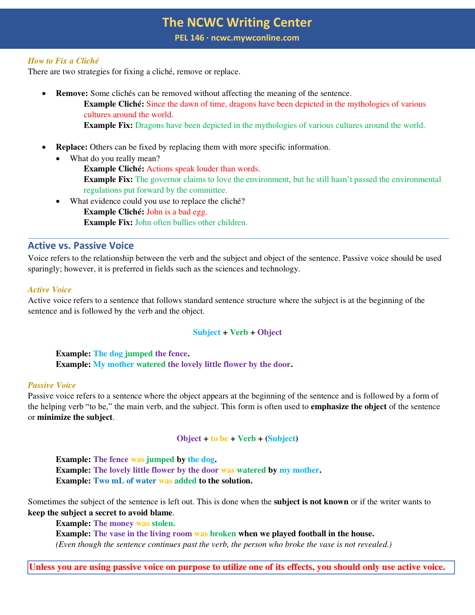**PEL 146 ∙ ncwc.mywconline.com**

### *How to Fix a Cliché*

There are two strategies for fixing a cliché, remove or replace.

**Remove:** Some clichés can be removed without affecting the meaning of the sentence.

**Example Cliché:** Since the dawn of time, dragons have been depicted in the mythologies of various cultures around the world.

- **Example Fix:** Dragons have been depicted in the mythologies of various cultures around the world.
- **Replace:** Others can be fixed by replacing them with more specific information.
	- What do you really mean?
		- **Example Cliché:** Actions speak louder than words. **Example Fix:** The governor claims to love the environment, but he still hasn't passed the environmental regulations put forward by the committee.
		- What evidence could you use to replace the cliché? **Example Cliché:** John is a bad egg. **Example Fix:** John often bullies other children.

# **Active vs. Passive Voice**

Voice refers to the relationship between the verb and the subject and object of the sentence. Passive voice should be used sparingly; however, it is preferred in fields such as the sciences and technology.

#### *Active Voice*

Active voice refers to a sentence that follows standard sentence structure where the subject is at the beginning of the sentence and is followed by the verb and the object.

### **Subject + Verb + Object**

**Example: The dog jumped the fence. Example: My mother watered the lovely little flower by the door.** 

#### *Passive Voice*

Passive voice refers to a sentence where the object appears at the beginning of the sentence and is followed by a form of the helping verb "to be," the main verb, and the subject. This form is often used to **emphasize the object** of the sentence or **minimize the subject**.

#### **Object + to be + Verb + (Subject)**

**Example: The fence was jumped by the dog. Example: The lovely little flower by the door was watered by my mother. Example: Two mL of water was added to the solution.** 

Sometimes the subject of the sentence is left out. This is done when the **subject is not known** or if the writer wants to **keep the subject a secret to avoid blame**.

**Example: The money was stolen. Example: The vase in the living room was broken when we played football in the house.**  *(Even though the sentence continues past the verb, the person who broke the vase is not revealed.)* 

**Unless you are using passive voice on purpose to utilize one of its effects, you should only use active voice.**